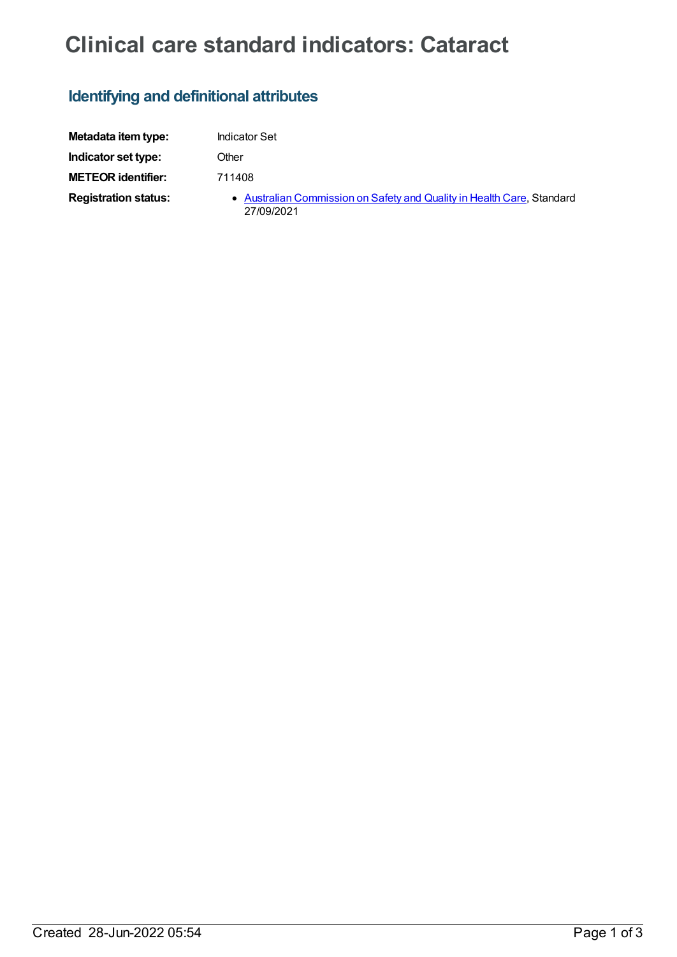# **Clinical care standard indicators: Cataract**

## **Identifying and definitional attributes**

| Metadata item type:         | <b>Indicator Set</b>                                                                 |
|-----------------------------|--------------------------------------------------------------------------------------|
| Indicator set type:         | Other                                                                                |
| <b>METEOR identifier:</b>   | 711408                                                                               |
| <b>Registration status:</b> | • Australian Commission on Safety and Quality in Health Care, Standard<br>27/09/2021 |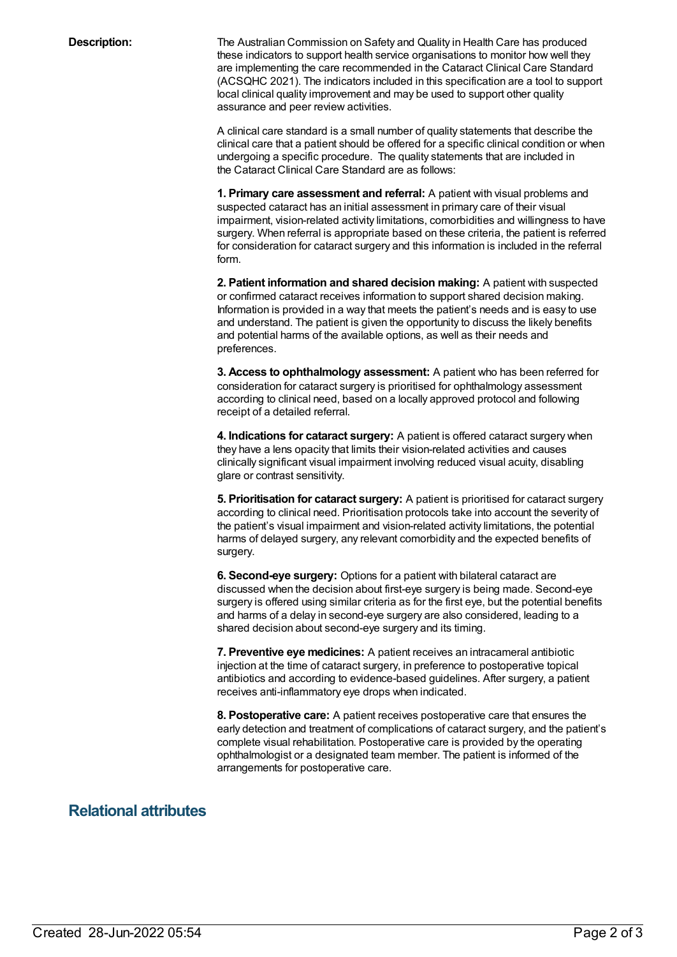**Description:** The Australian Commission on Safety and Quality in Health Care has produced these indicators to support health service organisations to monitor how well they are implementing the care recommended in the Cataract Clinical Care Standard (ACSQHC 2021). The indicators included in this specification are a tool to support local clinical quality improvement and may be used to support other quality assurance and peer review activities.

> A clinical care standard is a small number of quality statements that describe the clinical care that a patient should be offered for a specific clinical condition or when undergoing a specific procedure. The quality statements that are included in the Cataract Clinical Care Standard are as follows:

> **1. Primary care assessment and referral:** A patient with visual problems and suspected cataract has an initial assessment in primary care of their visual impairment, vision-related activity limitations, comorbidities and willingness to have surgery. When referral is appropriate based on these criteria, the patient is referred for consideration for cataract surgery and this information is included in the referral form.

**2. Patient information and shared decision making:** A patient with suspected or confirmed cataract receives information to support shared decision making. Information is provided in a way that meets the patient's needs and is easy to use and understand. The patient is given the opportunity to discuss the likely benefits and potential harms of the available options, as well as their needs and preferences.

**3. Access to ophthalmology assessment:** A patient who has been referred for consideration for cataract surgery is prioritised for ophthalmology assessment according to clinical need, based on a locally approved protocol and following receipt of a detailed referral.

**4. Indications for cataract surgery:** A patient is offered cataract surgery when they have a lens opacity that limits their vision-related activities and causes clinically significant visual impairment involving reduced visual acuity, disabling glare or contrast sensitivity.

**5. Prioritisation for cataract surgery:** A patient is prioritised for cataract surgery according to clinical need. Prioritisation protocols take into account the severity of the patient's visual impairment and vision-related activity limitations, the potential harms of delayed surgery, any relevant comorbidity and the expected benefits of surgery.

**6. Second-eye surgery:** Options for a patient with bilateral cataract are discussed when the decision about first-eye surgery is being made. Second-eye surgery is offered using similar criteria as for the first eye, but the potential benefits and harms of a delay in second-eye surgery are also considered, leading to a shared decision about second-eye surgery and its timing.

**7. Preventive eye medicines:** A patient receives an intracameral antibiotic injection at the time of cataract surgery, in preference to postoperative topical antibiotics and according to evidence-based guidelines. After surgery, a patient receives anti-inflammatory eye drops when indicated.

**8. Postoperative care:** A patient receives postoperative care that ensures the early detection and treatment of complications of cataract surgery, and the patient's complete visual rehabilitation. Postoperative care is provided by the operating ophthalmologist or a designated team member. The patient is informed of the arrangements for postoperative care.

### **Relational attributes**